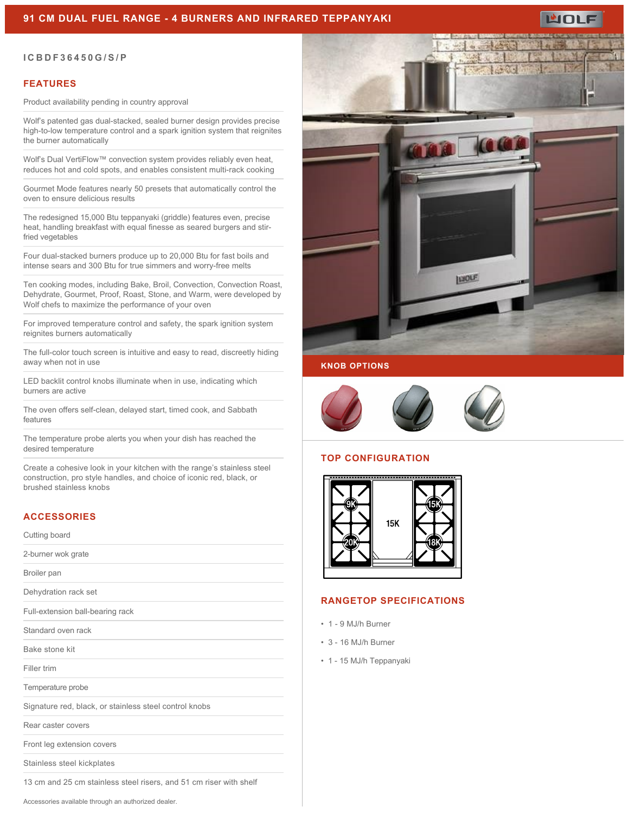# **91 CM DUAL FUEL RANGE - 4 BURNERS AND INFRARED TEPPANYAKI**



## **FEATURES**

Product availability pending in country approval

Wolf's patented gas dual-stacked, sealed burner design provides precise high-to-low temperature control and a spark ignition system that reignites the burner automatically

Wolf's Dual VertiFlow™ convection system provides reliably even heat, reduces hot and cold spots, and enables consistent multi-rack cooking

Gourmet Mode features nearly 50 presets that automatically control the oven to ensure delicious results

The redesigned 15,000 Btu teppanyaki (griddle) features even, precise heat, handling breakfast with equal finesse as seared burgers and stirfried vegetables

Four dual-stacked burners produce up to 20,000 Btu for fast boils and intense sears and 300 Btu for true simmers and worry-free melts

Ten cooking modes, including Bake, Broil, Convection, Convection Roast, Dehydrate, Gourmet, Proof, Roast, Stone, and Warm, were developed by Wolf chefs to maximize the performance of your oven

For improved temperature control and safety, the spark ignition system reignites burners automatically

The full-color touch screen is intuitive and easy to read, discreetly hiding away when not in use

LED backlit control knobs illuminate when in use, indicating which burners are active

The oven offers self-clean, delayed start, timed cook, and Sabbath features

The temperature probe alerts you when your dish has reached the desired temperature

Create a cohesive look in your kitchen with the range's stainless steel construction, pro style handles, and choice of iconic red, black, or brushed stainless knobs

## **ACCESSORIES**

#### Cutting board

| 2-burner wok grate                                                 |
|--------------------------------------------------------------------|
| Broiler pan                                                        |
| Dehydration rack set                                               |
| Full-extension ball-bearing rack                                   |
| Standard oven rack                                                 |
| Bake stone kit                                                     |
| Filler trim                                                        |
| Temperature probe                                                  |
| Signature red, black, or stainless steel control knobs             |
| Rear caster covers                                                 |
| Front leg extension covers                                         |
| Stainless steel kickplates                                         |
| 13 cm and 25 cm stainless steel risers, and 51 cm riser with shelf |





ப்பட

## **KNOB OPTIONS**



### **TOP CONFIGURATION**



#### **RANGETOP SPECIFICATIONS**

- 1 9 MJ/h Burner
- 3 16 MJ/h Burner
- 1 15 MJ/h Teppanyaki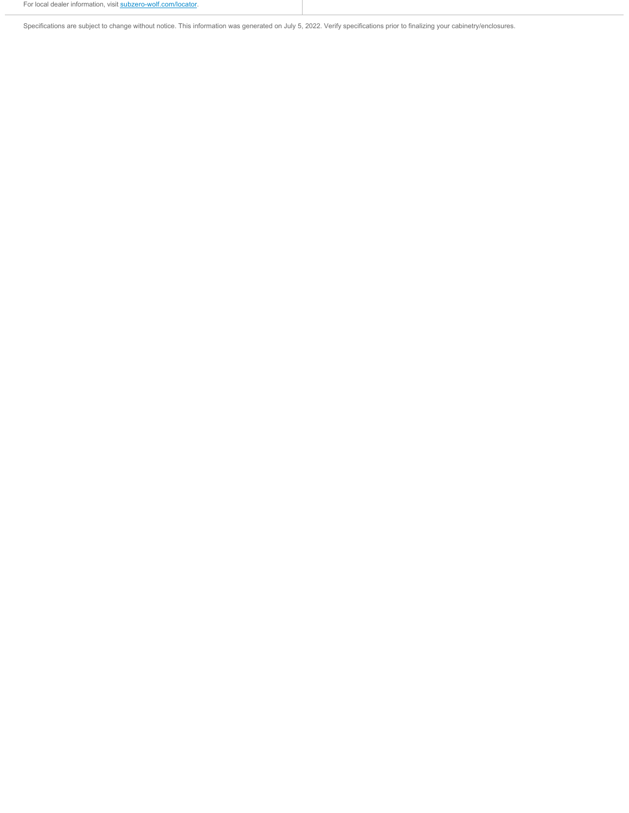Specifications are subject to change without notice. This information was generated on July 5, 2022. Verify specifications prior to finalizing your cabinetry/enclosures.